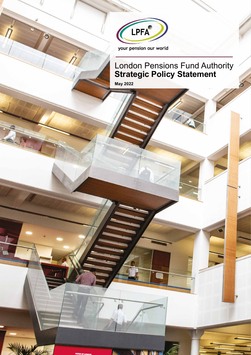

## London Pensions Fund Authority **Strategic Policy Statement**

**May 2022**



 $\bullet$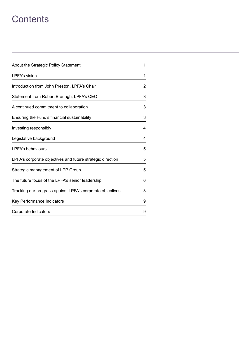## **Contents**

| About the Strategic Policy Statement                       |   |
|------------------------------------------------------------|---|
| LPFA's vision                                              | 1 |
| Introduction from John Preston, LPFA's Chair               | 2 |
| Statement from Robert Branagh, LPFA's CEO                  | 3 |
| A continued commitment to collaboration                    | 3 |
| Ensuring the Fund's financial sustainability               | 3 |
| Investing responsibly                                      | 4 |
| Legislative background                                     | 4 |
| LPFA's behaviours                                          | 5 |
| LPFA's corporate objectives and future strategic direction | 5 |
| Strategic management of LPP Group                          |   |
| The future focus of the LPFA's senior leadership           | 6 |
| Tracking our progress against LPFA's corporate objectives  | 8 |
| Key Performance Indicators                                 | 9 |
| Corporate Indicators                                       | 9 |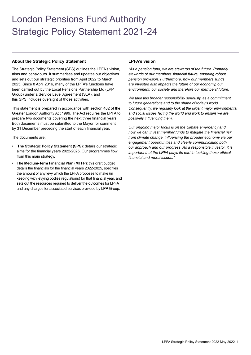# London Pensions Fund Authority Strategic Policy Statement 2021-24

## **About the Strategic Policy Statement**

The Strategic Policy Statement (SPS) outlines the LPFA's vision, aims and behaviours. It summarises and updates our objectives and sets out our strategic priorities from April 2022 to March 2025. Since 8 April 2016, many of the LPFA's functions have been carried out by the Local Pensions Partnership Ltd (LPP Group) under a Service Level Agreement (SLA). and this SPS includes oversight of those activities.

This statement is prepared in accordance with section 402 of the Greater London Authority Act 1999. The Act requires the LPFA to prepare two documents covering the next three financial years. Both documents must be submitted to the Mayor for comment by 31 December preceding the start of each financial year.

The documents are:

- **The Strategic Policy Statement (SPS)**: details our strategic aims for the financial years 2022-2025. Our programmes flow from this main strategy.
- **The Medium-Term Financial Plan (MTFP)**: this draft budget details the financials for the financial years 2022-2025, specifies the amount of any levy which the LPFA proposes to make (in keeping with levying bodies regulations) for that financial year, and sets out the resources required to deliver the outcomes for LPFA and any charges for associated services provided by LPP Group.

## **LPFA's vision**

*"As a pension fund, we are stewards of the future. Primarily stewards of our members' financial future, ensuring robust pension provision. Furthermore, how our members' funds are invested also impacts the future of our economy, our environment, our society and therefore our members' future.*

*We take this broader responsibility seriously, as a commitment to future generations and to the shape of today's world. Consequently, we regularly look at the urgent major environmental and social issues facing the world and work to ensure we are positively influencing them.*

*Our ongoing major focus is on the climate emergency and how we can invest member funds to mitigate the financial risk from climate change, influencing the broader economy via our engagement opportunities and clearly communicating both our approach and our progress. As a responsible investor, it is important that the LPFA plays its part in tackling these ethical, financial and moral issues."*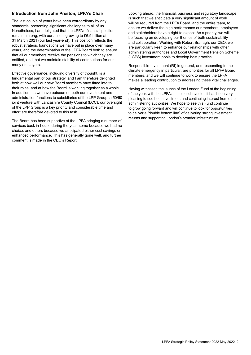## **Introduction from John Preston, LPFA's Chair**

The last couple of years have been extraordinary by any standards, presenting significant challenges to all of us. Nonetheless, I am delighted that the LPFA's financial position remains strong, with our assets growing to £6.9 billion at 31 March 2021 (our last year-end). This position reflects the robust strategic foundations we have put in place over many years, and the determination of the LPFA Board both to ensure that all our members receive the pensions to which they are entitled, and that we maintain stability of contributions for our many employers.

Effective governance, including diversity of thought, is a fundamental part of our strategy, and I am therefore delighted both at how well our new Board members have fitted into to their roles, and at how the Board is working together as a whole. In addition, as we have outsourced both our investment and administration functions to subsidiaries of the LPP Group, a 50/50 joint venture with Lancashire County Council (LCC), our oversight of the LPP Group is a key priority and considerable time and effort are therefore devoted to this task.

The Board has been supportive of the LPFA bringing a number of services back in-house during the year, some because we had no choice, and others because we anticipated either cost savings or enhanced performance. This has generally gone well, and further comment is made in the CEO's Report.

Looking ahead, the financial, business and regulatory landscape is such that we anticipate a very significant amount of work will be required from the LPFA Board, and the entire team, to ensure we deliver the high performance our members, employers and stakeholders have a right to expect. As a priority, we will be focusing on developing our themes of both sustainability and collaboration. Working with Robert Branagh, our CEO, we are particularly keen to enhance our relationships with other administering authorities and Local Government Pension Scheme (LGPS) investment pools to develop best practice.

Responsible Investment (RI) in general, and responding to the climate emergency in particular, are priorities for all LPFA Board members, and we will continue to work to ensure the LPFA makes a leading contribution to addressing these vital challenges.

Having witnessed the launch of the London Fund at the beginning of the year, with the LPFA as the seed investor, it has been very pleasing to see both investment and continuing interest from other administering authorities. We hope to see this Fund continue to grow going forward and will continue to look for opportunities to deliver a "double bottom line" of delivering strong investment returns and supporting London's broader infrastructure.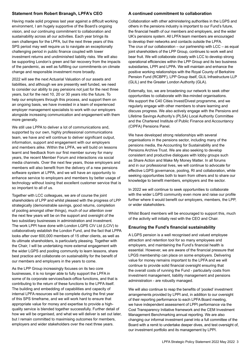## **Statement from Robert Branagh, LPFA's CEO**

Having made solid progress last year against a difficult working environment, I am hugely supportive of the Board's ongoing vision, and our continuing commitment to collaboration and sustainability across all our activities. Each year brings its own challenges for the LPFA, but the next three years of this SPS period may well require us to navigate an exceptionally challenging period in public finance coupled with lower investment returns and undiminished liability risks. We will also be supporting London's green and fair recovery from the impacts of the pandemic, as well as fulfilling our commitments on climate change and responsible investment more broadly.

2022 will see the next Actuarial Valuation of our assets and liabilities, and although we are presently well funded, we need to consider our ability to pay pensions not just for the next three years, but for the next 10, 20 or 30 years into the future. To help our employers through this process, and support them on an ongoing basis, we have invested in a team of experienced employer management specialists to work with our employers alongside increasing communication and engagement with them more generally.

We still use LPPA to deliver a lot of communications and, supported by our own, highly professional communications team, we have and will continue to deliver significant output, information, support and engagement with our employers and members alike. Within the LPFA, we will build on lessons learnt and feedback from our first member survey for many years, the recent Member Forum and interactions via social media channels. Over the next few years, those employers and members will also benefit from the delivery of a new pensions software system at LPPA, and we will have an opportunity to enhance service to employers and members by better usage of technology without losing that excellent customer service that is so important to all of us.

Together with LCC colleagues, we are of course the joint shareholders of LPP and whilst pleased with the progress of LPP strategically (demonstrable savings, good returns, completion of pooling amongst other things), much of our attention over the next few years will be on the support and oversight of the two subsidiary businesses in administration and investment. The work LPPI have done with London LGPS CIV Ltd (LCIV) to collaboratively establish the London Fund, and the fact that LPPA looks after over 600,000 members of 15 other clients, as well as its ultimate shareholders, is particularly pleasing. Together with the Chair, I will be undertaking more external engagement with the wider LGPS and pooling community to learn lessons, share best practice and collaborate on sustainability for the benefit of our members and employers in the years to come.

As the LPP Group increasingly focuses on its two core businesses, it is no longer able to fully support the LPFA in some of its corporate services/back-office functions, and that is contributing to the return of these functions to the LPFA itself. The building and embedding of capabilities and capacity of internal LPFA resources will be complete during the first year of this SPS timeframe, and we will work hard to ensure that appropriate value for money and expertise to provide a highquality service is blended together successfully. Further detail of how we will be organised, and what we will deliver is set out later, but I remain committed to maximising outcomes for members, employers and wider stakeholders over the next three years.

## **A continued commitment to collaboration**

Collaboration with other administering authorities in the LGPS and others in the pensions industry is important to our Fund's future, the financial health of our members and employers, and the wider UK's pensions system. All LPFA team members are encouraged to develop their networks and contacts outside the LPFA. The crux of our collaboration – our partnership with LCC – as equal joint shareholders of the LPP Group, continues to work well and bear fruit. We will collaborate closely with LCC to develop strong operational efficiencies within the LPP Group and its two business subsidiaries, LPPI and LPPA. We will maintain and enhance the positive working relationships with the Royal County of Berkshire Pension Fund (RCBPF), LPP Group itself, GLIL Infrastructure LLP (GLIL) and the Greater London Authority (GLA).

Externally, too, we are broadening our network to seek other opportunities to collaborate with like-minded organisations. We support the C40 Cities Invest/Divest programme, and we regularly engage with other members to share learning and discuss progress. We also actively engage with the Pensions and Lifetime Savings Authority's (PLSA) Local Authority Committee and the Chartered Institute of Public Finance and Accountancy (CIPFA) Pensions Panel.

We have developed strong relationships with several organisations in the pensions sector, including many of the pensions media, the Accounting for Sustainability and the Pensions Archive Trust. We are also seeking to develop consistent and productive dialogues with lobby groups such as Share Action and Make My Money Matter. In all forums and in our professional lives, we will continue to advocate for effective LGPS governance, pooling, RI and collaboration, while seeking opportunities both to learn from others and to share our knowledge to benefit members, employers and the sector.

In 2022 we will continue to seek opportunities to collaborate with the wider LGPS community even more and raise our profile further where it would benefit our employers, members, the LPP, or wider stakeholders.

Whilst Board members will be encouraged to support this, much of the activity will initially rest with the CEO and Chair.

## **Ensuring the Fund's financial sustainability**

A LGPS pension is a well recognised and valued employee attraction and retention tool for so many employees and employers, and maintaining the Fund's financial health is essential. However, we are aware of the financial pressure that LPGS membership can place on some employers. Delivering value for money remains important to the LPFA and we will continue to provide solid financial oversight ensuring that the overall costs of running the Fund - particularly costs from investment management, liability management and pensions administration - are robustly managed.

We will also continue to reap the benefits of 'pooled' investment arrangements provided by LPPI and, in addition to our oversight of their reporting performance to each LPFA Board meeting, we have independent assessment of LPPI performance via the Cost Transparency Initiative framework and the CEM Investment Management Benchmarking annual reporting. We are also changing our informal investment panel into a full committee of the Board with a remit to undertake deeper dives, and test oversight of, our investment portfolio and its management by LPPI.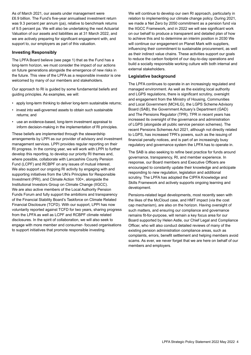As of March 2021, our assets under management were £6.9 billion. The Fund's five-year annualised investment return was 9.3 percent per annum (pa), relative to benchmark returns of 9.5 percent pa. We will also be undertaking the next Actuarial Valuation of our assets and liabilities as at 31 March 2022, and we are actively preparing for significant engagement with, and support to, our employers as part of this valuation.

### **Investing Responsibly**

The LPFA Board believe (see page 1) that as the Fund has a long-term horizon, we must consider the impact of our actions on future generations alongside the emergence of new risks in the future. This view of the LPFA as a responsible investor is one welcomed by many of our members and stakeholders.

Our approach to RI is guided by some fundamental beliefs and guiding principles. As examples, we will:

- apply long-term thinking to deliver long-term sustainable returns;
- invest into well-governed assets to obtain such sustainable returns; and
- use an evidence-based, long-term investment appraisal to inform decision-making in the implementation of RI principles.

These beliefs are implemented through the stewardship arrangements by LPPI as our provider of advisory and investment management services. LPPI provides regular reporting on their RI progress. In the coming year, we will work with LPPI to further develop this reporting, to develop our priority RI themes and, where possible, collaborate with Lancashire County Pension Fund (LCPF) and RCBPF on any issues of mutual interest. We also support our ongoing RI activity by engaging with and supporting initiatives from the UN's Principles for Responsible Investment (PRI), and Climate Action 100+, alongside the Institutional Investors Group on Climate Change (IIGCC). We are also active members of the Local Authority Pension Funds Forum and fully support the ambitions and transparency of the Financial Stability Board's Taskforce on Climate Related Financial Disclosure (TCFD). With our support, LPPI has now voluntarily reported against TCFD for two years, sharing progress from the LPFA as well as LCPF and RCBPF climate related disclosures. In the spirit of collaboration, we will also seek to engage with more member and consumer- focused organisations to support initiatives that promote responsible investing.

We will continue to develop our own RI approach, particularly in relation to implementing our climate change policy. During 2021, we made a Net Zero by 2050 commitment as a pension fund via the IIGCC Framework, and in 2022 we will see significant work on our behalf to produce a transparent and detailed plan of how to achieve this and to determine an interim position in 2030 We will continue our engagement on Planet Mark with suppliers, influencing their commitment to sustainable procurement, as well as their indirect value chains. These activities support our goals to reduce the carbon footprint of our day-to-day operations and build a socially responsible working culture with both internal and external stakeholders.

### **Legislative background**

The LPFA continues to operate in an increasingly regulated and managed environment. As well as the existing local authority and LGPS regulations, there is significant scrutiny, oversight and engagement from the Ministry of Housing, Communities and Local Government (MCHLG), the LGPS Scheme Advisory Board (SAB), the Government Actuary's Department (GAD) and The Pensions Regulator (TPR). TPR in recent years has increased its oversight of the governance and administration of LGPS (alongside all public service pension schemes). The recent Pensions Schemes Act 2021, although not directly related to LGPS, has increased TPR's powers, such as the issuing of financial penalty notices, and is part of an increasingly busy regulatory and governance system the LPFA has to operate in.

The SAB is also seeking to refine best practice for funds around governance, transparency, RI, and member experience. In response, our Board members and Executive Officers are encouraged to constantly update their knowledge and anticipate responding to new regulation, legislation and additional scrutiny. The LPFA has adopted the CIPFA Knowledge and Skills Framework and actively supports ongoing learning and development.

Pensions-related legal developments, most recently seen with the likes of the McCloud case, and HMT impact (via the cost cap mechanism), are also on the horizon. Having oversight of such matters, and ensuring our compliance and governance remains fit-for-purpose, will remain a key focus area for our Board supported by Helen Astle, our Chief Legal and Compliance Officer, who will also conduct detailed reviews of many of the existing pension administration compliance areas, such as complaints, errors, benefit settlement and helping members avoid scams. As ever, we never forget that we are here on behalf of our members and employers.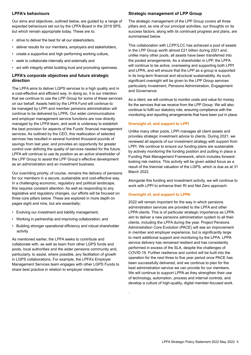## <span id="page-6-0"></span>**LPFA's behaviours**

Our aims and objectives, outlined below, are guided by a range of expected behaviours set out by the LPFA Board in the 2019 SPS, but which remain appropriate today. These are to:

- strive to deliver the best for all our stakeholders,
- deliver results for our members, employers and stakeholders,
- create a supportive and high performing working culture,
- seek to collaborate internally and externally and
- act with integrity whilst building trust and promoting openness.

## **LPFA's corporate objectives and future strategic direction**

The LPFA aims to deliver LGPS services to a high quality and in a cost-effective and efficient way. In doing so, it is our intention that we continue to use the LPP Group for some of these services on our behalf. Assets held by the LPFA Fund will continue to be managed by LPPI and member pensions administration will continue to be delivered by LPPA. Our wider communications and employer management service functions are now directly managed by the LPFA team, and work is underway to establish the best provision for aspects of the Funds' financial management services. As outlined by the CEO, this reallocation of selected services has resulted in several hundred thousand pounds of savings from last year, and provides an opportunity for greater control over defining the quality of services needed for the future. LPFA will continue to use its position as an active shareholder of the LPP Group to assist the LPP Group's effective development as an administration and an investment business.

Our overriding priority, of course, remains the delivery of pensions for our members in a secure, sustainable and cost-effective way. In a challenging economic, regulatory and political landscape, this requires constant attention. As well as responding to any legislative and regulatory changes, our efforts will be focused on three core pillars below. These are explored in more depth on pages eight and nine, but are essentially:

- Evolving our investment and liability management,
- Working in partnership and improving collaboration; and
- Building stronger operational efficiency and robust shareholder activity.

As mentioned earlier, the LPFA seeks to contribute and collaborate with, as well as learn from other LGPS funds and pools, local authorities and the wider pensions community and, particularly, to assist, where possible, any facilitation of growth in LGPS collaborations. For example, the LPFA's Employer Management Services team engages with other LGPS Funds to share best practice in relation to employer interactions.

## **Strategic management of LPP Group**

The strategic management of the LPP Group covers all three pillars and, as one of our principal activities, our thoughts on its success factors, along with its continued progress and plans, are summarised below.

This collaboration with LCPF/LCC has achieved a pool of assets in the LPP Group worth almost £21 billion during 2021 and, unlike many other pools, all assets have been transferred into the pooled arrangements. As a shareholder in LPP, the LPFA will continue to be active, overseeing and supporting both LPPI and LPPA, and will ensure that the LPP as a group is supported in its long-term financial and structural sustainability. As such, significant oversight will be given to the LPP Group services particularly Investment, Pensions Administration, Engagement and Governance.

As a client, we will continue to monitor costs and value for money for the services that we receive from the LPP Group. We will also continue to fulfil our statutory role, ensuring compliance with the monitoring and reporting arrangements that have been put in place.

## **Oversight of, and support to LPPI**

Unlike many other pools, LPPI manages all client assets and provides strategic investment advice to clients. During 2021, we reviewed all aspects of our investment strategy with support from LPPI. We continue to ensure our funding plans are sustainable by actively monitoring the funding position and putting in place a Funding Risk Management Framework, which includes forwardlooking risk metrics. This activity will be given added focus as a result of the triennial valuation of the LGPS, which is due as at 31 March 2022.

Alongside this funding and investment activity, we will continue to work with LPPI to enhance their RI and Net Zero approach.

## **Oversight of, and support to LPPA**

.

2022 will remain important for the way in which pensions administration services are provided to the LPFA and other LPPA clients. This is of particular strategic importance as LPPA aim to deliver a new pensions administration system to all their clients, including the LPFA during the year. Project Pensions Administration Core Evolution (PACE) will see an improvement in member and employer experience, but is significantly large to merit additional support and monitoring by the LPFA. LPPA service delivery has remained resilient and has consistently performed in excess of the SLA, despite the challenges of COVID-19. Further resilience and control will be built into the operation for the next three to five year period once PACE has been successfully delivered, and we continue to plan for the best administration service we can provide for our members. We will continue to support LPPA as they strengthen their use of technology, automation, process and internal controls, and develop a culture of high-quality, digital member-focused work.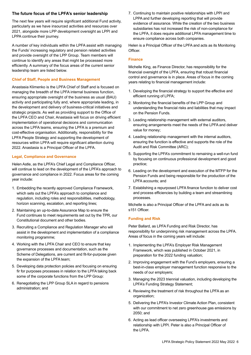## <span id="page-7-0"></span>**The future focus of the LPFA's senior leadership**

The next few years will require significant additional Fund activity, particularly as we have insourced activities and resources over 2021, alongside more LPP development oversight as LPPI and LPPA continue their journey.

A number of key individuals within the LPFA assist with managing the Funds' increasing regulatory and pension related activities and provide oversight of the LPP Group. Team members will continue to identify any areas that might be processed more efficiently. A summary of the focus areas of the current senior leadership team are listed below.

## **Chief of Staff, People and Business Management**

Anastasia Klimenko is the LPFA Chief of Staff and is focused on managing the breadth of the LPFA internal business function, ensuring appropriate oversight of the business as usual (BAU) activity and participating fully and, where appropriate leading, in the development and delivery of business-critical initiatives and strategic projects. As well as providing support to the Office of the LPFA CEO and Chair, Anastasia will focus on driving efficient implementation of operational decisions and communication across the LPFA teams, ensuring the LPFA is a premium and cost-effective organisation. Additionally, responsibility for the LPFA People Strategy and supporting the development of resources within LPFA will require significant attention during 2022. Anastasia is a Principal Officer of the LPFA.

### **Legal, Compliance and Governance**

Helen Astle, as the LPFA's Chief Legal and Compliance Officer, will continue to lead on the development of the LPFA's approach to governance and compliance in 2022. Focus areas for the coming year include:

- 1. Embedding the recently approved Compliance Framework, which sets out the LPFA's approach to compliance and regulation, including roles and responsibilities, methodology, horizon scanning, escalation, and reporting lines;
- 2. Maintaining an up-to-date Assurance Map to ensure the Fund continues to meet requirements set out by the TPR, our Constitutional document and other bodies.
- 3. Recruiting a Compliance and Regulation Manager who will assist in the development and implementation of a compliance monitoring programme;
- 4. Working with the LPFA Chair and CEO to ensure that key governance processes and documentation, such as the Scheme of Delegations, are current and fit-for-purpose given the expansion of the LPFA team;
- 5. Developing data protection policies and focusing on ensuring fir for purposes processes in relation to the LPFA taking back some of the corporate functions from the LPP Group:
- 6. Renegotiating the LPP Group SLA in regard to pensions administration; and

7. Continuing to maintain positive relationships with LPPI and LPPA and further developing reporting that will provide evidence of assurance. While the creation of the two business subsidiaries has not increased the risk of non-compliance for the LPFA, it does require additional LPFA management time to ensure compliance across both companies.

Helen is a Principal Officer of the LPFA and acts as its Monitoring Officer.

#### **Finance**

Michelle King, as Finance Director, has responsibility for the financial oversight of the LPFA, ensuring that robust financial control and governance is in place. Areas of focus in the coming years relating to financial management include:

- 1. Developing the financial strategy to support the effective and efficient running of LPFA;
- 2. Monitoring the financial benefits of the LPP Group and understanding the financial risks and liabilities that may impact on the Pension Funds.
- 3. Leading relationship management with external auditors, ensuring arrangements meet the needs of the LPFA and deliver value for money;
- 4. Leading relationship management with the internal auditors, ensuring the function is effective and supports the role of the Audit and Risk Committee (ARC);
- 5. Supporting the LPFA's commitment to remaining a well-run fund by focusing on continuous professional development and good practice;
- 6. Leading on the development and execution of the MTFP for the Pension Funds and being responsible for the production of the LPFA accounts; and
- 7. Establishing a repurposed LPFA finance function to deliver cost and process efficiencies by building a team and streamlining processes.

Michelle is also a Principal Officer of the LPFA and acts as its s151 Officer.

#### **Funding and Risk**

Peter Ballard, as LPFA Funding and Risk Director, has responsibility for underpinning risk management across the LPFA. Areas of focus in the coming years will include:

- 1. Implementing the LPFA's Employer Risk Management Framework, which was published in October 2021, in preparation for the 2022 funding valuation;
- 2. Improving engagement with the Fund's employers, ensuring a best-in-class employer management function responsive to the needs of our employers;
- 3. Managing the 2023 triennial valuation, including developing the LPFA's Funding Strategy Statement;
- 4. Reviewing the treatment of risk throughout the LPFA as an organization;
- 5. Delivering the LPFA's Investor Climate Action Plan, consistent with our commitment to net zero greenhouse gas emissions by 2050; and
- 6. Acting as lead officer overseeing LPFA's investments and relationship with LPPI. Peter is also a Principal Officer of the LPFA.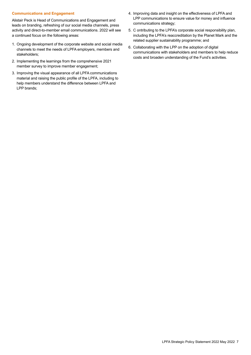#### <span id="page-8-0"></span>**Communications and Engagement**

Alistair Peck is Head of Communications and Engagement and leads on branding, refreshing of our social media channels, press activity and direct-to-member email communications. 2022 will see a continued focus on the following areas:

- 1. Ongoing development of the corporate website and social media channels to meet the needs of LPFA employers, members and stakeholders;
- 2. Implementing the learnings from the comprehensive 2021 member survey to improve member engagement;
- 3. Improving the visual appearance of all LPFA communications material and raising the public profile of the LPFA, including to help members understand the difference between LPFA and LPP brands;
- 4. Improving data and insight on the effectiveness of LPFA and LPP communications to ensure value for money and influence communications strategy;
- 5. C ontributing to the LPFA's corporate social responsibility plan, including the LPFA's reaccreditation by the Planet Mark and the related supplier sustainability programme; and
- 6. Collaborating with the LPP on the adoption of digital communications with stakeholders and members to help reduce costs and broaden understanding of the Fund's activities.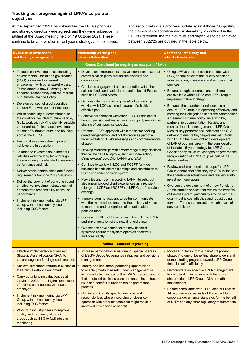## <span id="page-9-0"></span>**Tracking our progress against LPFA's corporate objectives**

At the September 2021 Board Awayday, the LPFA's priorities and strategic direction were agreed, and they were subsequently ratified at the Board meeting held on 19 October 2021. These continue to be an evolution of last year's strategy and objectives, and set out below is a progress update against those. Supporting the themes of collaboration and sustainability, as outlined in the CEO's Statement, the main outputs and objectives to be achieved between 2022/25 are outlined in the table below.

| <b>Evolution of investment</b><br>and liability management                                                                                                                                                                                                                                                                                                                                                                                                                                                                                                                                                                                                                                                                                                                                                                                                                                                                                                                                                                                                                                                                                        | <b>Partnership working and</b><br>wider collaboration                                                                                                                                                                                                                                                                                                                                                                                                                                                                                                                                                                                                                                                                                                                                                                                                                                                                                                                                                                                                                                                                                                                                                                                                                                                                                                                                                                                                                                                                                                                                                            | <b>Operational efficiency and</b><br>robust shareholder                                                                                                                                                                                                                                                                                                                                                                                                                                                                                                                                                                                                                                                                                                                                                                                                                                                                                                                                                                                                                                                                                                                                                                                                                                                                                                                               |  |  |
|---------------------------------------------------------------------------------------------------------------------------------------------------------------------------------------------------------------------------------------------------------------------------------------------------------------------------------------------------------------------------------------------------------------------------------------------------------------------------------------------------------------------------------------------------------------------------------------------------------------------------------------------------------------------------------------------------------------------------------------------------------------------------------------------------------------------------------------------------------------------------------------------------------------------------------------------------------------------------------------------------------------------------------------------------------------------------------------------------------------------------------------------------|------------------------------------------------------------------------------------------------------------------------------------------------------------------------------------------------------------------------------------------------------------------------------------------------------------------------------------------------------------------------------------------------------------------------------------------------------------------------------------------------------------------------------------------------------------------------------------------------------------------------------------------------------------------------------------------------------------------------------------------------------------------------------------------------------------------------------------------------------------------------------------------------------------------------------------------------------------------------------------------------------------------------------------------------------------------------------------------------------------------------------------------------------------------------------------------------------------------------------------------------------------------------------------------------------------------------------------------------------------------------------------------------------------------------------------------------------------------------------------------------------------------------------------------------------------------------------------------------------------------|---------------------------------------------------------------------------------------------------------------------------------------------------------------------------------------------------------------------------------------------------------------------------------------------------------------------------------------------------------------------------------------------------------------------------------------------------------------------------------------------------------------------------------------------------------------------------------------------------------------------------------------------------------------------------------------------------------------------------------------------------------------------------------------------------------------------------------------------------------------------------------------------------------------------------------------------------------------------------------------------------------------------------------------------------------------------------------------------------------------------------------------------------------------------------------------------------------------------------------------------------------------------------------------------------------------------------------------------------------------------------------------|--|--|
| Green: Completed (or ongoing as now part of BAU)                                                                                                                                                                                                                                                                                                                                                                                                                                                                                                                                                                                                                                                                                                                                                                                                                                                                                                                                                                                                                                                                                                  |                                                                                                                                                                                                                                                                                                                                                                                                                                                                                                                                                                                                                                                                                                                                                                                                                                                                                                                                                                                                                                                                                                                                                                                                                                                                                                                                                                                                                                                                                                                                                                                                                  |                                                                                                                                                                                                                                                                                                                                                                                                                                                                                                                                                                                                                                                                                                                                                                                                                                                                                                                                                                                                                                                                                                                                                                                                                                                                                                                                                                                       |  |  |
| To focus on investment risk, including<br>environmental, social and governance<br>(ESG) issues and increased<br>engagement with other stakeholders.<br>To implement a new RI strategy and<br>enhance transparency and return from<br>our Climate Change Policy.<br>Develop concept of a collaborative<br>London Fund with potential investors.<br>Whilst continuing our commitment to<br>the collaborative infrastructure vehicle,<br>GLIL, work with LPPI to identify suitable<br>opportunities for increased investment<br>in London's infrastructure and housing<br>across the LGPS.<br>Ensure all eight investment pooled<br>vehicles are in operation.<br>To manage investments to meet our<br>liabilities over the long term through<br>the monitoring of delegated investment<br>performance and risk.<br>Deliver stable contributions and funding<br>requirements from the 2019 Valuation.<br>Deliver the payment of pensions based<br>on effective investment strategies that<br>demonstrate responsibility as well as<br>performance.<br>Implement risk monitoring via LPP<br>Group with a focus on key issues<br>including ESG factors | Develop and implement extensive internal and external<br>communication plans around sustainability and<br>collaboration.<br>Continued engagement and co-operation with other<br>national funds and particularly, London based Funds,<br>such as LCIV and others.<br>Demonstrate the continuing benefit of partnership<br>working with LCC as a model owner of a highly<br>effective pool.<br>Achieve collaboration with other LGPS Funds and/or<br>London pension entities, either in a support, servicing or<br>sharing of best practice capacity.<br>Promote LPFA's approach within the sector seeking<br>greater engagement and collaboration as part of a<br>wider refresh of LPFA's messages and communications<br>strategy.<br>Develop relationships with a wider range of organisations<br>that can help LPFA improve, such as Share Action,<br>ClimateAction100+, C40, LAPFF and SAB.<br>Continue to work with LCC and RCBPF for wider<br>business benefit, shared learnings and contribution to<br>LGPS and wider pension system.<br>Play a leading role in protecting LPFA interests, but<br>also ensuring good client experiences as a recipient<br>(alongside LCPF and RCBPF) of LPP Group's service<br>offerings.<br>Improve communications to better communicate<br>with the marketplace ensuring the delivery of value<br>to members and recognition of a sustainable<br>pension fund.<br>Successful TUPE of Finance Team from LPP to LPFA<br>and implementation of the new financial system.<br>Oversee the development of the new financial<br>system to ensure the system operates effectively | Using LPFA's position as shareholder with<br>LCC, ensure efficient and quality pensions<br>administration, investment and employer risk<br>services.<br>Ensure enough resources and resilience<br>are available within LPFA and LPP Group to<br>implement future strategy.<br>Enhance the shareholder relationship and<br>ensure LPP Group are operating effectively and<br>meeting their obligations under the Shareholder<br>Agreement. Ensure compliance with key<br>partnership documentation. Review and<br>monitor financial management of LPP Group.<br>Monitor key performance indicators and SLA<br>delivery to ensure key targets are met. Work<br>with LCC in the oversight and development<br>of LPP Group, principally in the consideration<br>of the latest 5-year strategy for LPP Group.<br>Consider any structural changes or governance<br>reorganisation of LPP Group as part of the<br>strategy refresh.<br>Review and implement next steps for LPP<br>Group operational efficiency by 2020 in line with<br>the shareholder robustness and resilience into<br>investment operations.<br>Oversee the development of a new Pensions<br>Administration service that retains the benefits<br>of the old system, particularly around service<br>quality, but is cost effective and robust going<br>forward. To ensure consistently high levels of<br>service delivery. |  |  |
|                                                                                                                                                                                                                                                                                                                                                                                                                                                                                                                                                                                                                                                                                                                                                                                                                                                                                                                                                                                                                                                                                                                                                   | and consistently.                                                                                                                                                                                                                                                                                                                                                                                                                                                                                                                                                                                                                                                                                                                                                                                                                                                                                                                                                                                                                                                                                                                                                                                                                                                                                                                                                                                                                                                                                                                                                                                                |                                                                                                                                                                                                                                                                                                                                                                                                                                                                                                                                                                                                                                                                                                                                                                                                                                                                                                                                                                                                                                                                                                                                                                                                                                                                                                                                                                                       |  |  |
| <b>Amber - Started/Progressing</b>                                                                                                                                                                                                                                                                                                                                                                                                                                                                                                                                                                                                                                                                                                                                                                                                                                                                                                                                                                                                                                                                                                                |                                                                                                                                                                                                                                                                                                                                                                                                                                                                                                                                                                                                                                                                                                                                                                                                                                                                                                                                                                                                                                                                                                                                                                                                                                                                                                                                                                                                                                                                                                                                                                                                                  |                                                                                                                                                                                                                                                                                                                                                                                                                                                                                                                                                                                                                                                                                                                                                                                                                                                                                                                                                                                                                                                                                                                                                                                                                                                                                                                                                                                       |  |  |
| Effective implementation of revised<br><b>Strategic Asset Allocation (SAA) to</b><br>ensure long term funding needs are met.<br>Achieve investment returns in excess of<br>the Policy Portfolio Benchmark.<br>Carry out a funding valuation, as at<br>31 March 2022, including implementation<br>of revised contributions with each<br>employer.<br>Implement risk monitoring via LPP<br>Group with a focus on key issues<br>including ESG factors.<br>Work with industry peers to improve<br>quality and frequency of data in<br>areas such as ESG to facilitate this<br>monitoring.                                                                                                                                                                                                                                                                                                                                                                                                                                                                                                                                                             | Increase participation in national or specialist areas<br>of ESG/RI/Good Governance initiatives and pensions<br>management.<br>Identify and implement partnering opportunities<br>to enable growth in assets under management or<br>increased effectiveness of the LPP Group and ensure<br>that a detailed business case demonstrating potential<br>risks and benefits is undertaken as part of that<br>process.<br>Continue to identify specific functions and<br>responsibilities where insourcing or closer co-<br>operation with other stakeholders might result in<br>improved efficiencies or benefit.                                                                                                                                                                                                                                                                                                                                                                                                                                                                                                                                                                                                                                                                                                                                                                                                                                                                                                                                                                                                     | Move LPP Group from a 'benefit of pooling<br>strategy' to one of benefiting shareholders and<br>demonstrating progress towards LPP Group<br>financial self- sufficiency.<br>• Demonstrate an effective LPFA management<br>team operating in balance with the Board,<br>shareholders, LPP Group, GLA and other<br>stakeholders.<br>Ensure compliance with TPR Code of Practice<br>14 requirements, aspects of the wider LG or<br>corporate governance standards for the benefit<br>of LPFA and any other regulatory requirements.                                                                                                                                                                                                                                                                                                                                                                                                                                                                                                                                                                                                                                                                                                                                                                                                                                                      |  |  |